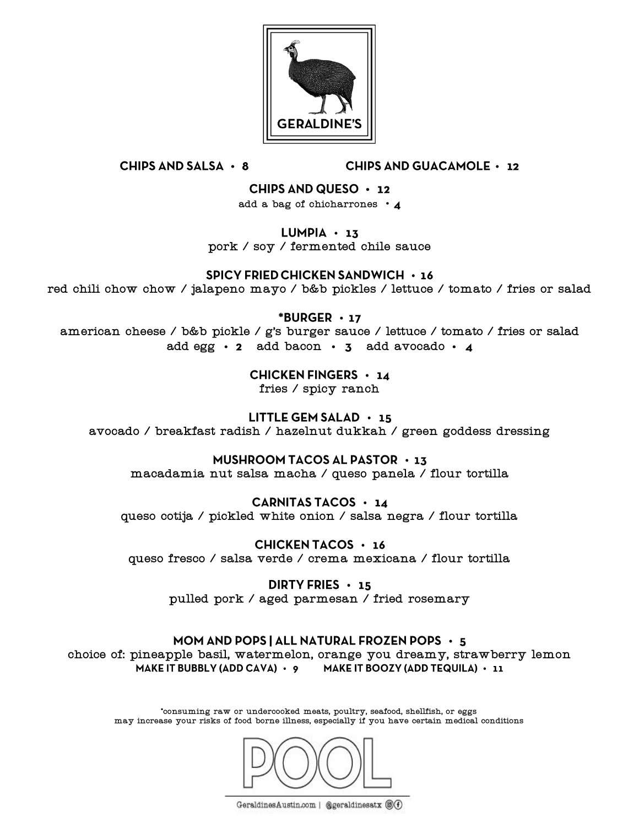

**CHIPS AND SALSA · 8** 

**CHIPS AND GUACAMOLE · 12** 

CHIPS AND QUESO  $\cdot$  12

add a bag of chicharrones • 4

 $LUMPIA \cdot 13$ 

pork / soy / fermented chile sauce

**SPICY FRIED CHICKEN SANDWICH · 16** 

red chili chow chow / jalapeno mayo / b&b pickles / lettuce / tomato / fries or salad

 $*$ BURGER  $\cdot$  17

american cheese / b&b pickle / g's burger sauce / lettuce / tomato / fries or salad add egg  $\cdot$  2 add bacon  $\cdot$  3 add avocado  $\cdot$  4

CHICKEN FINGERS  $\cdot$  14

fries / spicy ranch

**LITTLE GEM SALAD**  $\cdot$  **15** avocado / breakfast radish / hazelnut dukkah / green goddess dressing

MUSHROOM TACOS AL PASTOR  $\cdot$  13

macadamia nut salsa macha / queso panela / flour tortilla

CARNITAS TACOS  $\cdot$  14 queso cotija / pickled white onion / salsa negra / flour tortilla

**CHICKEN TACOS · 16** queso fresco / salsa verde / crema mexicana / flour tortilla

> DIRTY FRIES  $\cdot$  15 pulled pork / aged parmesan / fried rosemary

MOM AND POPS | ALL NATURAL FROZEN POPS  $\cdot$  5 choice of: pineapple basil, watermelon, orange you dreamy, strawberry lemonMAKE IT BUBBLY (ADD CAVA) · 9 MAKE IT BOOZY (ADD TEQUILA) · 11

\*consuming raw or undercooked meats, poultry, seafood, shellfish, or eggs may increase your risks of food borne illness, especially if you have certain medical conditions



GeraldinesAustin.com | @geraldinesatx @O